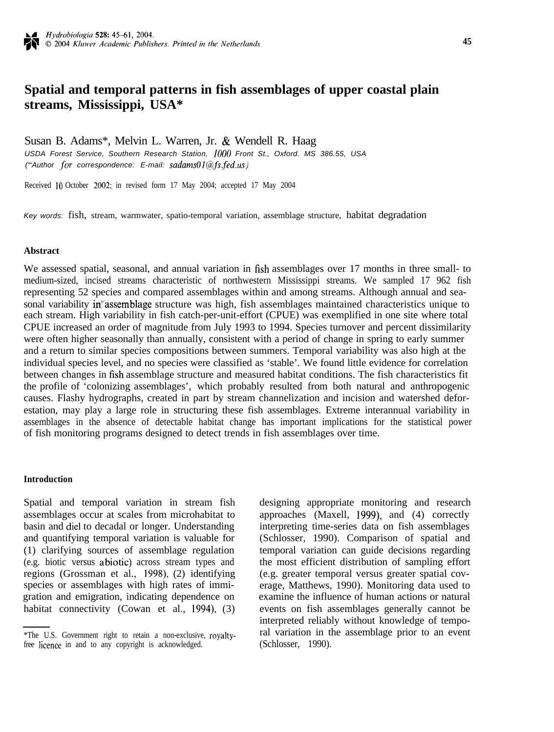# **Spatial and temporal patterns in fish assemblages of upper coastal plain streams, Mississippi, USA\***

Susan B. Adams\*, Melvin L. Warren, Jr. & Wendell R. Haag *USDA Forest Service, Southern Research Station, I000 Front St., Oxford. MS 386.55, USA ("Author for correspondence: E-mail: sadams01@fs.fed.us)* 

Received 10 October 2002; in revised form 17 May 2004; accepted 17 May 2004

*Key words:* fish, stream, warmwater, spatio-temporal variation, assemblage structure, habitat degradation

#### **Abstract**

We assessed spatial, seasonal, and annual variation in fish assemblages over 17 months in three small- to medium-sized, incised streams characteristic of northwestern Mississippi streams. We sampled 17 962 fish representing 52 species and compared assemblages within and among streams. Although annual and seasonal variability in assemblage structure was high, fish assemblages maintained characteristics unique to each stream. High variability in fish catch-per-unit-effort (CPUE) was exemplified in one site where total CPUE increased an order of magnitude from July 1993 to 1994. Species turnover and percent dissimilarity were often higher seasonally than annually, consistent with a period of change in spring to early summer and a return to similar species compositions between summers. Temporal variability was also high at the individual species level, and no species were classified as 'stable'. We found little evidence for correlation between changes in fish assemblage structure and measured habitat conditions. The fish characteristics fit the profile of 'colonizing assemblages', which probably resulted from both natural and anthropogenic causes. Flashy hydrographs, created in part by stream channelization and incision and watershed deforestation, may play a large role in structuring these fish assemblages. Extreme interannual variability in assemblages in the absence of detectable habitat change has important implications for the statistical power of fish monitoring programs designed to detect trends in fish assemblages over time.

### **Introduction**

Spatial and temporal variation in stream fish assemblages occur at scales from microhabitat to basin and die1 to decadal or longer. Understanding and quantifying temporal variation is valuable for (1) clarifying sources of assemblage regulation (e.g. biotic versus abiotic) across stream types and regions (Grossman et al., 1998), (2) identifying species or assemblages with high rates of immigration and emigration, indicating dependence on habitat connectivity (Cowan et al., 1994), (3) designing appropriate monitoring and research approaches (Maxell, 1999), and (4) correctly interpreting time-series data on fish assemblages (Schlosser, 1990). Comparison of spatial and temporal variation can guide decisions regarding the most efficient distribution of sampling effort (e.g. greater temporal versus greater spatial coverage, Matthews, 1990). Monitoring data used to examine the influence of human actions or natural events on fish assemblages generally cannot be interpreted reliably without knowledge of temporal variation in the assemblage prior to an event (Schlosser, 1990).

<sup>\*</sup>The U.S. Government right to retain a non-exclusive, royaltyfree licence in and to any copyright is acknowledged.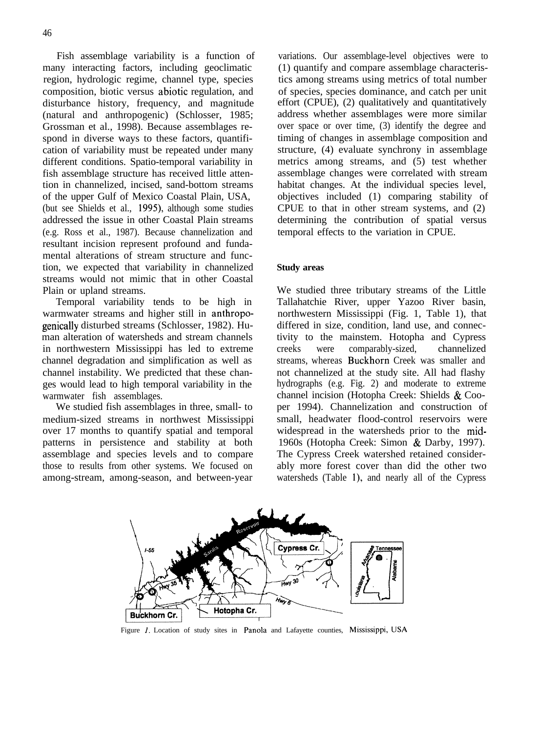Fish assemblage variability is a function of many interacting factors, including geoclimatic region, hydrologic regime, channel type, species composition, biotic versus abiotic regulation, and disturbance history, frequency, and magnitude (natural and anthropogenic) (Schlosser, 1985; Grossman et al., 1998). Because assemblages respond in diverse ways to these factors, quantification of variability must be repeated under many different conditions. Spatio-temporal variability in fish assemblage structure has received little attention in channelized, incised, sand-bottom streams of the upper Gulf of Mexico Coastal Plain, USA, (but see Shields et al., 1995), although some studies addressed the issue in other Coastal Plain streams (e.g. Ross et al., 1987). Because channelization and resultant incision represent profound and fundamental alterations of stream structure and function, we expected that variability in channelized streams would not mimic that in other Coastal Plain or upland streams.

Temporal variability tends to be high in warmwater streams and higher still in anthropogenitally disturbed streams (Schlosser, 1982). Human alteration of watersheds and stream channels in northwestern Mississippi has led to extreme channel degradation and simplification as well as channel instability. We predicted that these changes would lead to high temporal variability in the warmwater fish assemblages.

We studied fish assemblages in three, small- to medium-sized streams in northwest Mississippi over 17 months to quantify spatial and temporal patterns in persistence and stability at both assemblage and species levels and to compare those to results from other systems. We focused on among-stream, among-season, and between-year

variations. Our assemblage-level objectives were to (1) quantify and compare assemblage characteristics among streams using metrics of total number of species, species dominance, and catch per unit effort (CPUE), (2) qualitatively and quantitatively address whether assemblages were more similar over space or over time, (3) identify the degree and timing of changes in assemblage composition and structure, (4) evaluate synchrony in assemblage metrics among streams, and (5) test whether assemblage changes were correlated with stream habitat changes. At the individual species level, objectives included (1) comparing stability of CPUE to that in other stream systems, and (2) determining the contribution of spatial versus temporal effects to the variation in CPUE.

### **Study areas**

We studied three tributary streams of the Little Tallahatchie River, upper Yazoo River basin, northwestern Mississippi (Fig. 1, Table 1), that differed in size, condition, land use, and connectivity to the mainstem. Hotopha and Cypress creeks were comparably-sized, channelized streams, whereas Buckhorn Creek was smaller and not channelized at the study site. All had flashy hydrographs (e.g. Fig. 2) and moderate to extreme channel incision (Hotopha Creek: Shields & Cooper 1994). Channelization and construction of small, headwater flood-control reservoirs were widespread in the watersheds prior to the mid-1960s (Hotopha Creek: Simon & Darby, 1997). The Cypress Creek watershed retained considerably more forest cover than did the other two watersheds (Table I), and nearly all of the Cypress



Figure 1. Location of study sites in Panola and Lafayette counties, Mississippi, USA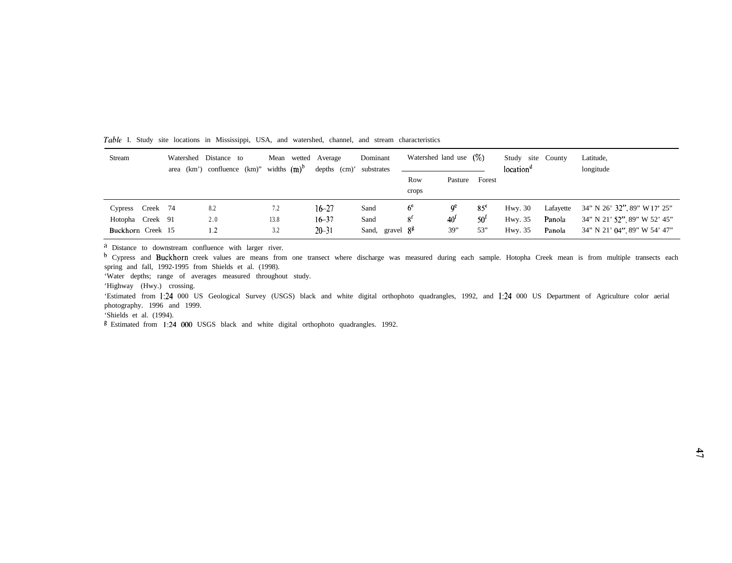| Stream            |          | Watershed Distance to<br>area (km') confluence (km)" widths $(m)^b$ |      | Mean wetted Average<br>$depths$ (cm) <sup>*</sup> | Dominant<br>substrates | Watershed land use $(\%)$ |                 |                 |           | Study site County<br>location <sup>d</sup> |                              | Latitude,<br>longitude |
|-------------------|----------|---------------------------------------------------------------------|------|---------------------------------------------------|------------------------|---------------------------|-----------------|-----------------|-----------|--------------------------------------------|------------------------------|------------------------|
|                   |          |                                                                     |      |                                                   |                        | Row                       | Pasture         | Forest          |           |                                            |                              |                        |
|                   |          |                                                                     |      |                                                   |                        | crops                     |                 |                 |           |                                            |                              |                        |
| Cypress           | Creek 74 | 8.2                                                                 | 7.2  | $16 - 27$                                         | Sand                   | 6 <sup>e</sup>            | ٥ <sup>c</sup>  | 85 <sup>e</sup> | Hwy. $30$ | Lafayette                                  | 34" N 26' 32", 89" W 17' 25" |                        |
| Hotopha Creek 91  |          | 2.0                                                                 | 13.8 | $16 - 37$                                         | Sand                   | 8 <sup>t</sup>            | 40 <sup>1</sup> | 50 <sup>t</sup> | Hwy. 35   | Panola                                     | 34" N 21' 52", 89" W 52' 45" |                        |
| Buckhorn Creek 15 |          | 1.2                                                                 | 3.2  | $20 - 31$                                         | Sand, gravel $8^g$     |                           | 39"             | 53"             | Hwy. 35   | Panola                                     | 34" N 21' 04", 89" W 54' 47" |                        |

Table I. Study site locations in Mississippi, USA, and watershed, channel, and stream characteristics

<sup>a</sup> Distance to downstream confluence with larger river.

<sup>b</sup> Cypress and Buckhorn creek values are means from one transect where discharge was measured during each sample. Hotopha Creek mean is from multiple transects each spring and fall, 1992-1995 from Shields et al. (1998).

'Water depths; range of averages measured throughout study.

'Highway (Hwy.) crossing.

'Estimated from 1:24 000 US Geological Survey (USGS) black and white digital orthophoto quadrangles, 1992, and I:24 000 US Department of Agriculture color aerial photography. 1996 and 1999.

'Shields et al. (1994).

<sup>g</sup> Estimated from 1:24 000 USGS black and white digital orthophoto quadrangles. 1992.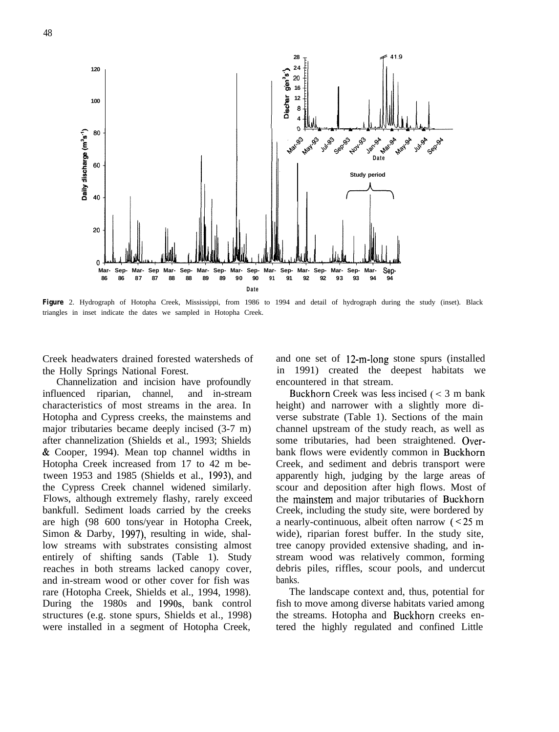

*Figure* 2. Hydrograph of Hotopha Creek, Mississippi, from 1986 to 1994 and detail of hydrograph during the study (inset). Black triangles in inset indicate the dates we sampled in Hotopha Creek.

Creek headwaters drained forested watersheds of the Holly Springs National Forest.

Channelization and incision have profoundly influenced riparian, channel, and in-stream characteristics of most streams in the area. In Hotopha and Cypress creeks, the mainstems and major tributaries became deeply incised (3-7 m) after channelization (Shields et al., 1993; Shields & Cooper, 1994). Mean top channel widths in Hotopha Creek increased from 17 to 42 m between 1953 and 1985 (Shields et al., 1993), and the Cypress Creek channel widened similarly. Flows, although extremely flashy, rarely exceed bankfull. Sediment loads carried by the creeks are high (98 600 tons/year in Hotopha Creek, Simon & Darby, 1997), resulting in wide, shallow streams with substrates consisting almost entirely of shifting sands (Table 1). Study reaches in both streams lacked canopy cover, and in-stream wood or other cover for fish was rare (Hotopha Creek, Shields et al., 1994, 1998). During the 1980s and 199Os, bank control structures (e.g. stone spurs, Shields et al., 1998) were installed in a segment of Hotopha Creek,

and one set of 12-m-long stone spurs (installed in 1991) created the deepest habitats we encountered in that stream.

Buckhorn Creek was Iess incised (< 3 m bank height) and narrower with a slightly more diverse substrate (Table 1). Sections of the main channel upstream of the study reach, as well as some tributaries, had been straightened. Overbank flows were evidently common in Buckhorn Creek, and sediment and debris transport were apparently high, judging by the large areas of scour and deposition after high flows. Most of the mainstem and major tributaries of Buckhorn Creek, including the study site, were bordered by a nearly-continuous, albeit often narrow  $\approx 25 \text{ m}$ wide), riparian forest buffer. In the study site, tree canopy provided extensive shading, and instream wood was relatively common, forming debris piles, riffles, scour pools, and undercut banks.

The landscape context and, thus, potential for fish to move among diverse habitats varied among the streams. Hotopha and Buckhorn creeks entered the highly regulated and confined Little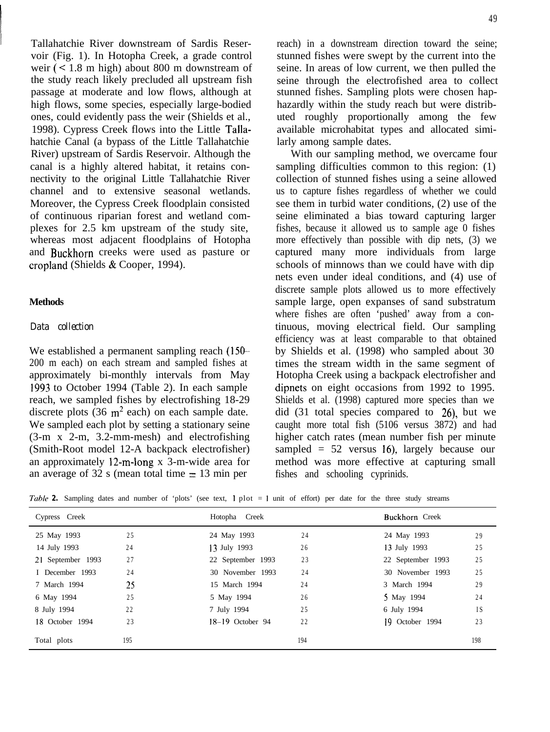Tallahatchie River downstream of Sardis Reservoir (Fig. 1). In Hotopha Creek, a grade control weir (< 1.8 m high) about 800 m downstream of the study reach likely precluded all upstream fish passage at moderate and low flows, although at high flows, some species, especially large-bodied ones, could evidently pass the weir (Shields et al., 1998). Cypress Creek flows into the Little Tallahatchie Canal (a bypass of the Little Tallahatchie River) upstream of Sardis Reservoir. Although the canal is a highly altered habitat, it retains connectivity to the original Little Tallahatchie River channel and to extensive seasonal wetlands. Moreover, the Cypress Creek floodplain consisted of continuous riparian forest and wetland complexes for 2.5 km upstream of the study site, whereas most adjacent floodplains of Hotopha and Buckhorn creeks were used as pasture or cropland (Shields & Cooper, 1994).

### **Methods**

# *Data collection*

We established a permanent sampling reach  $(150-$ 200 m each) on each stream and sampled fishes at approximately bi-monthly intervals from May I993 to October 1994 (Table 2). In each sample reach, we sampled fishes by electrofishing 18-29 discrete plots (36  $\text{m}^2$  each) on each sample date. We sampled each plot by setting a stationary seine (3-m x 2-m, 3.2-mm-mesh) and electrofishing (Smith-Root model 12-A backpack electrofisher) an approximately I2-m-long x 3-m-wide area for an average of 32 s (mean total time  $= 13$  min per

reach) in a downstream direction toward the seine; stunned fishes were swept by the current into the seine. In areas of low current, we then pulled the seine through the electrofished area to collect stunned fishes. Sampling plots were chosen haphazardly within the study reach but were distributed roughly proportionally among the few available microhabitat types and allocated similarly among sample dates.

With our sampling method, we overcame four sampling difficulties common to this region: (1) collection of stunned fishes using a seine allowed us to capture fishes regardless of whether we could see them in turbid water conditions, (2) use of the seine eliminated a bias toward capturing larger fishes, because it allowed us to sample age 0 fishes more effectively than possible with dip nets, (3) we captured many more individuals from large schools of minnows than we could have with dip nets even under ideal conditions, and (4) use of discrete sample plots allowed us to more effectively sample large, open expanses of sand substratum where fishes are often 'pushed' away from a continuous, moving electrical field. Our sampling efficiency was at least comparable to that obtained by Shields et al. (1998) who sampled about 30 times the stream width in the same segment of Hotopha Creek using a backpack electrofisher and dipnets on eight occasions from 1992 to 1995. Shields et al. (1998) captured more species than we did (31 total species compared to 26), but we caught more total fish (5106 versus 3872) and had higher catch rates (mean number fish per minute sampled  $= 52$  versus 16), largely because our method was more effective at capturing small fishes and schooling cyprinids.

| Table 2. Sampling dates and number of 'plots' (see text, $l$ plot = 1 unit of effort) per date for the three study streams |  |  |  |  |  |  |  |  |  |  |  |
|----------------------------------------------------------------------------------------------------------------------------|--|--|--|--|--|--|--|--|--|--|--|
|----------------------------------------------------------------------------------------------------------------------------|--|--|--|--|--|--|--|--|--|--|--|

| Cypress Creek     |     | Hotopha Creek      |     | <b>Buckhorn</b> Creek |     |
|-------------------|-----|--------------------|-----|-----------------------|-----|
| 25 May 1993       | 25  | 24 May 1993        | 24  | 24 May 1993           | 29  |
| 14 July 1993      | 24  | 13 July 1993       | 26  | 13 July 1993          | 25  |
| 21 September 1993 | 27  | 22 September 1993  | 23  | 22 September 1993     | 25  |
| I December 1993   | 24  | 30 November 1993   | 24  | 30 November 1993      | 25  |
| 7 March 1994      | 25  | 15 March 1994      | 24  | 3 March 1994          | 29  |
| 6 May 1994        | 25  | 5 May 1994         | 26  | 5 May 1994            | 24  |
| 8 July 1994       | 22  | 7 July 1994        | 25  | 6 July 1994           | 1 S |
| 18 October 1994   | 23  | $18-19$ October 94 | 22  | 19 October 1994       | 23  |
| Total plots       | 195 |                    | 194 |                       | 198 |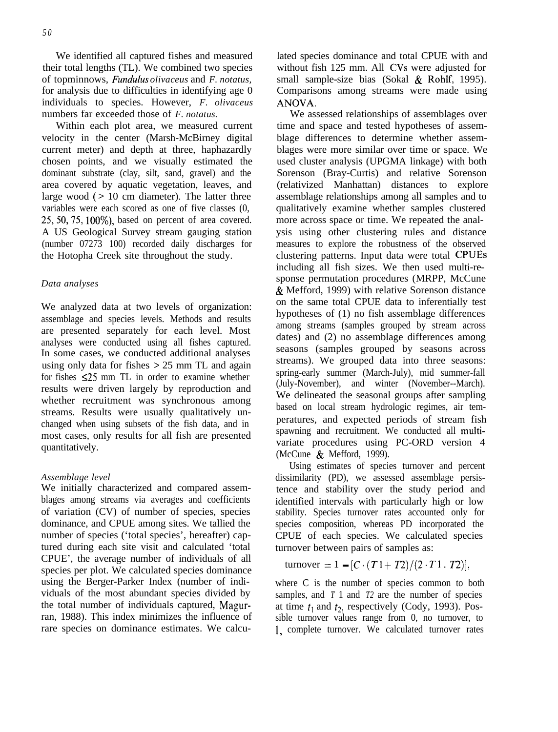We identified all captured fishes and measured their total lengths (TL). We combined two species of topminnows, *Fundulus olivaceus* and *F. notatus,* for analysis due to difficulties in identifying age 0 individuals to species. However, *F. olivaceus* numbers far exceeded those of *F. notatus.*

Within each plot area, we measured current velocity in the center (Marsh-McBirney digital current meter) and depth at three, haphazardly chosen points, and we visually estimated the dominant substrate (clay, silt, sand, gravel) and the area covered by aquatic vegetation, leaves, and large wood  $($  > 10 cm diameter). The latter three variables were each scored as one of five classes (0, 25,50,75, lOO%), based on percent of area covered. A US Geological Survey stream gauging station (number 07273 100) recorded daily discharges for the Hotopha Creek site throughout the study.

### *Data analyses*

We analyzed data at two levels of organization: assemblage and species levels. Methods and results are presented separately for each level. Most analyses were conducted using all fishes captured. In some cases, we conducted additional analyses using only data for fishes > 25 mm TL and again for fishes  $\leq 25$  mm TL in order to examine whether results were driven largely by reproduction and whether recruitment was synchronous among streams. Results were usually qualitatively unchanged when using subsets of the fish data, and in most cases, only results for all fish are presented quantitatively.

### *Assemblage level*

We initially characterized and compared assemblages among streams via averages and coefficients of variation (CV) of number of species, species dominance, and CPUE among sites. We tallied the number of species ('total species', hereafter) captured during each site visit and calculated 'total CPUE', the average number of individuals of all species per plot. We calculated species dominance using the Berger-Parker Index (number of individuals of the most abundant species divided by the total number of individuals captured, Magurran, 1988). This index minimizes the influence of rare species on dominance estimates. We calculated species dominance and total CPUE with and without fish 125 mm. All CVs were adjusted for small sample-size bias (Sokal & Rohlf, 1995). Comparisons among streams were made using ANOVA.

We assessed relationships of assemblages over time and space and tested hypotheses of assemblage differences to determine whether assemblages were more similar over time or space. We used cluster analysis (UPGMA linkage) with both Sorenson (Bray-Curtis) and relative Sorenson (relativized Manhattan) distances to explore assemblage relationships among all samples and to qualitatively examine whether samples clustered more across space or time. We repeated the analysis using other clustering rules and distance measures to explore the robustness of the observed clustering patterns. Input data were total CPUEs including all fish sizes. We then used multi-response permutation procedures (MRPP, McCune & Mefford, 1999) with relative Sorenson distance on the same total CPUE data to inferentially test hypotheses of (1) no fish assemblage differences among streams (samples grouped by stream across dates) and (2) no assemblage differences among seasons (samples grouped by seasons across streams). We grouped data into three seasons: spring-early summer (March-July), mid summer-fall (July-November), and winter (November--March). We delineated the seasonal groups after sampling based on local stream hydrologic regimes, air temperatures, and expected periods of stream fish spawning and recruitment. We conducted all multivariate procedures using PC-ORD version 4 (McCune & Mefford, 1999).

Using estimates of species turnover and percent dissimilarity (PD), we assessed assemblage persistence and stability over the study period and identified intervals with particularly high or low stability. Species turnover rates accounted only for species composition, whereas PD incorporated the CPUE of each species. We calculated species turnover between pairs of samples as:

turnover = 1 - [C. (Tl + 72)/(2. Tl . 72)],

where C is the number of species common to both samples, and *T* 1 and *T2* are the number of species at time  $t_1$  and  $t_2$ , respectively (Cody, 1993). Possible turnover values range from 0, no turnover, to 1, complete turnover. We calculated turnover rates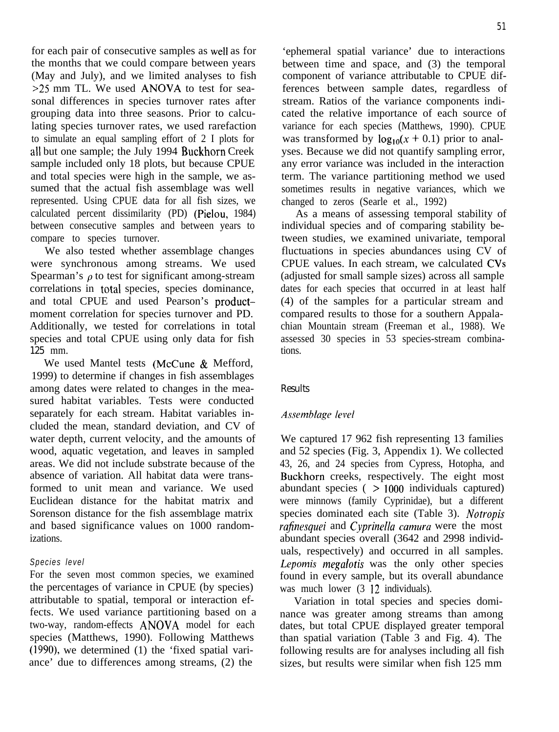for each pair of consecutive samples as well as for the months that we could compare between years (May and July), and we limited analyses to fish >25 mm TL. We used ANOVA to test for seasonal differences in species turnover rates after grouping data into three seasons. Prior to calculating species turnover rates, we used rarefaction to simulate an equal sampling effort of 2 I plots for all but one sample; the July 1994 Buckhorn Creek sample included only 18 plots, but because CPUE and total species were high in the sample, we assumed that the actual fish assemblage was well represented. Using CPUE data for all fish sizes, we calculated percent dissimilarity (PD) (Pielou, 1984) between consecutive samples and between years to compare to species turnover.

We also tested whether assemblage changes were synchronous among streams. We used Spearman's  $\rho$  to test for significant among-stream correlations in total species, species dominance, and total CPUE and used Pearson's productmoment correlation for species turnover and PD. Additionally, we tested for correlations in total species and total CPUE using only data for fish 125 mm.

We used Mantel tests (McCune & Mefford, 1999) to determine if changes in fish assemblages among dates were related to changes in the measured habitat variables. Tests were conducted separately for each stream. Habitat variables included the mean, standard deviation, and CV of water depth, current velocity, and the amounts of wood, aquatic vegetation, and leaves in sampled areas. We did not include substrate because of the absence of variation. All habitat data were transformed to unit mean and variance. We used Euclidean distance for the habitat matrix and Sorenson distance for the fish assemblage matrix and based significance values on 1000 randomizations.

# *Species level*

For the seven most common species, we examined the percentages of variance in CPUE (by species) attributable to spatial, temporal or interaction effects. We used variance partitioning based on a two-way, random-effects ANOVA model for each species (Matthews, 1990). Following Matthews (1990), we determined (1) the 'fixed spatial variance' due to differences among streams, (2) the

'ephemeral spatial variance' due to interactions between time and space, and (3) the temporal component of variance attributable to CPUE differences between sample dates, regardless of stream. Ratios of the variance components indicated the relative importance of each source of variance for each species (Matthews, 1990). CPUE was transformed by  $log_{10}(x + 0.1)$  prior to analyses. Because we did not quantify sampling error, any error variance was included in the interaction term. The variance partitioning method we used sometimes results in negative variances, which we changed to zeros (Searle et al., 1992)

As a means of assessing temporal stability of individual species and of comparing stability between studies, we examined univariate, temporal fluctuations in species abundances using CV of CPUE values. In each stream, we calculated CVs (adjusted for small sample sizes) across all sample dates for each species that occurred in at least half (4) of the samples for a particular stream and compared results to those for a southern Appalachian Mountain stream (Freeman et al., 1988). We assessed 30 species in 53 species-stream combinations.

### Results

### Assemblage level

We captured 17 962 fish representing 13 families and 52 species (Fig. 3, Appendix 1). We collected 43, 26, and 24 species from Cypress, Hotopha, and Buckhorn creeks, respectively. The eight most abundant species ( > 1000 individuals captured) were minnows (family Cyprinidae), but a different species dominated each site (Table 3). *Notropis rafinesquei* and *Cyprinella camura* were the most abundant species overall (3642 and 2998 individuals, respectively) and occurred in all samples. *Lepomis megalotis* was the only other species found in every sample, but its overall abundance was much lower  $(3 \ 12 \text{ individuals})$ .

Variation in total species and species dominance was greater among streams than among dates, but total CPUE displayed greater temporal than spatial variation (Table 3 and Fig. 4). The following results are for analyses including all fish sizes, but results were similar when fish 125 mm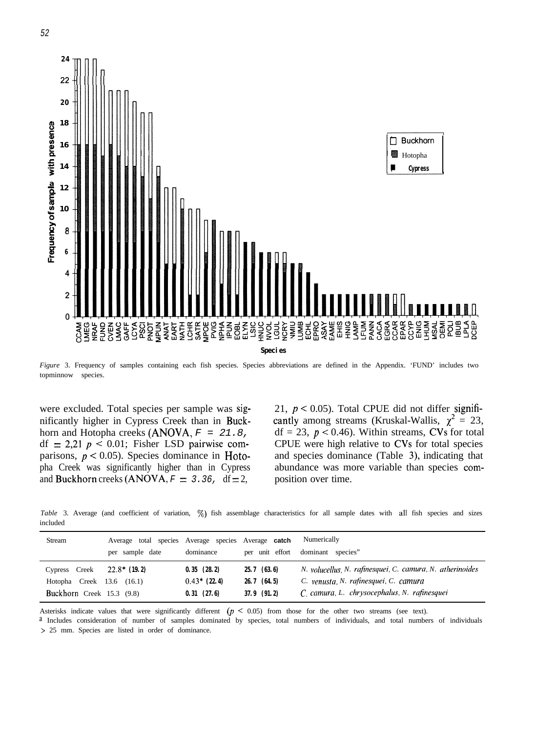

*Figure* 3. Frequency of samples containing each fish species. Species abbreviations are defined in the Appendix. 'FUND' includes two topminnow species.

nificantly higher in Cypress Creek than in Buck- cantly among streams (Kruskal-Wallis,  $\chi^2 = 23$ , horn and Hotopha creeks (ANOVA,  $F = 21.8$ , df = 23,  $p < 0.46$ ). Within streams, CVs for total df = 2,21  $p < 0.01$ ; Fisher LSD pairwise com-<br>CPUE were high relative to CVs for total species parisons,  $p \le 0.05$ ). Species dominance in Hoto- and species dominance (Table 3), indicating that pha Creek was significantly higher than in Cypress abundance was more variable than species comand Buckhorn creeks  $(ANOVA, F = 3.36, df = 2,$  position over time.

were excluded. Total species per sample was sig-  $21$ ,  $p < 0.05$ ). Total CPUE did not differ signifi-CPUE were high relative to CVs for total species

*Table* 3. Average (and coefficient of variation,  $\%$ ) fish assemblage characteristics for all sample dates with all fish species and sizes included

| <b>Stream</b>                | Average total species Average species Average catch<br>per sample date | dominance      |                 | Numerically<br>per unit effort dominant species"          |
|------------------------------|------------------------------------------------------------------------|----------------|-----------------|-----------------------------------------------------------|
| Cypress Creek $22.8*$ (19.2) |                                                                        | 0.35(28.2)     | $25.7$ (63.6)   | N. volucellus, N. rafinesquei, C. camura, N. atherinoides |
| Hotopha Creek $13.6$ (16.1)  |                                                                        | $0.43*$ (22.4) | $26.7$ (64.5)   | C. venusta, N. rafinesquei, C. camura                     |
| Buckhorn Creek 15.3 (9.8)    |                                                                        | 0.31(27.6)     | $37.9$ $(91.2)$ | C. camura, L. chrysocephalus, N. rafinesquei              |

Asterisks indicate values that were significantly different  $(p \le 0.05)$  from those for the other two streams (see text).

a Includes consideration of number of samples dominated by species, total numbers of individuals, and total numbers of individuals > 25 mm. Species are listed in order of dominance.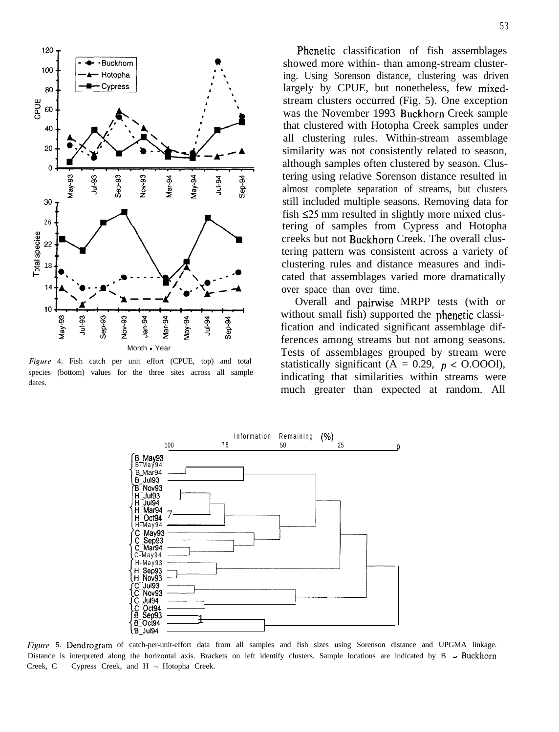

Figwe 4. Fish catch per unit effort (CPUE, top) and total species (bottom) values for the three sites across all sample dates.

Phenetic classification of fish assemblages showed more within- than among-stream clustering. Using Sorenson distance, clustering was driven largely by CPUE, but nonetheless, few mixedstream clusters occurred (Fig. 5). One exception was the November 1993 Buckhorn Creek sample that clustered with Hotopha Creek samples under all clustering rules. Within-stream assemblage similarity was not consistently related to season, although samples often clustered by season. Clustering using relative Sorenson distance resulted in almost complete separation of streams, but clusters still included multiple seasons. Removing data for fish  $\leq 25$  mm resulted in slightly more mixed clustering of samples from Cypress and Hotopha creeks but not Buckhorn Creek. The overall clustering pattern was consistent across a variety of clustering rules and distance measures and indicated that assemblages varied more dramatically over space than over time.

Overall and pairwise MRPP tests (with or without small fish) supported the phenetic classification and indicated significant assemblage differences among streams but not among seasons. Tests of assemblages grouped by stream were statistically significant ( $A = 0.29$ ,  $p <$  O.OOOl), indicating that similarities within streams were much greater than expected at random. All



Figure 5. Dendrogram of catch-per-unit-effort data from all samples and fish sizes using Sorenson distance and UPGMA linkage. Distance is interpreted along the horizontal axis. Brackets on left identify clusters. Sample locations are indicated by B - Buckhorn Creek, C - Cypress Creek, and H - Hotopha Creek.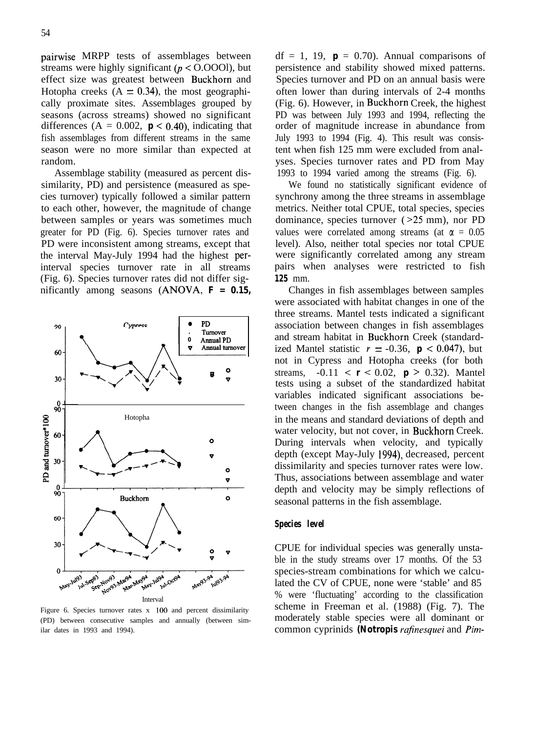pairwise MRPP tests of assemblages between streams were highly significant ( $p <$  O.OOOl), but effect size was greatest between Buckhorn and Hotopha creeks  $(A = 0.34)$ , the most geographically proximate sites. Assemblages grouped by seasons (across streams) showed no significant differences  $(A = 0.002, p < 0.40)$ , indicating that fish assemblages from different streams in the same season were no more similar than expected at random.

Assemblage stability (measured as percent dissimilarity, PD) and persistence (measured as species turnover) typically followed a similar pattern to each other, however, the magnitude of change between samples or years was sometimes much greater for PD (Fig. 6). Species turnover rates and PD were inconsistent among streams, except that the interval May-July 1994 had the highest perinterval species turnover rate in all streams (Fig. 6). Species turnover rates did not differ significantly among seasons (ANOVA, *F = 0.15,*



Figure 6. Species turnover rates x 100 and percent dissimilarity (PD) between consecutive samples and annually (between similar dates in 1993 and 1994).

 $df = 1$ , 19,  $\mathbf{p} = 0.70$ . Annual comparisons of persistence and stability showed mixed patterns. Species turnover and PD on an annual basis were often lower than during intervals of 2-4 months (Fig. 6). However, in Buckhorn Creek, the highest PD was between July 1993 and 1994, reflecting the order of magnitude increase in abundance from July 1993 to 1994 (Fig. 4). This result was consistent when fish 125 mm were excluded from analyses. Species turnover rates and PD from May 1993 to 1994 varied among the streams (Fig. 6).

We found no statistically significant evidence of synchrony among the three streams in assemblage metrics. Neither total CPUE, total species, species dominance, species turnover (>25 mm), nor PD values were correlated among streams (at  $\alpha = 0.05$ level). Also, neither total species nor total CPUE were significantly correlated among any stream pairs when analyses were restricted to fish *125* mm.

Changes in fish assemblages between samples were associated with habitat changes in one of the three streams. Mantel tests indicated a significant association between changes in fish assemblages and stream habitat in Buckhorn Creek (standardized Mantel statistic  $r = -0.36$ ,  $p < 0.047$ ), but not in Cypress and Hotopha creeks (for both streams,  $-0.11 < r < 0.02$ ,  $p > 0.32$ ). Mantel tests using a subset of the standardized habitat variables indicated significant associations between changes in the fish assemblage and changes in the means and standard deviations of depth and water velocity, but not cover, in Buckhorn Creek. During intervals when velocity, and typically depth (except May-July 1994), decreased, percent dissimilarity and species turnover rates were low. Thus, associations between assemblage and water depth and velocity may be simply reflections of seasonal patterns in the fish assemblage.

### *Species level*

CPUE for individual species was generally unstable in the study streams over 17 months. Of the 53 species-stream combinations for which we calculated the CV of CPUE, none were 'stable' and 85 % were 'fluctuating' according to the classification scheme in Freeman et al. (1988) (Fig. 7). The moderately stable species were all dominant or common cyprinids *(Notropis rafinesquei* and *Pim-*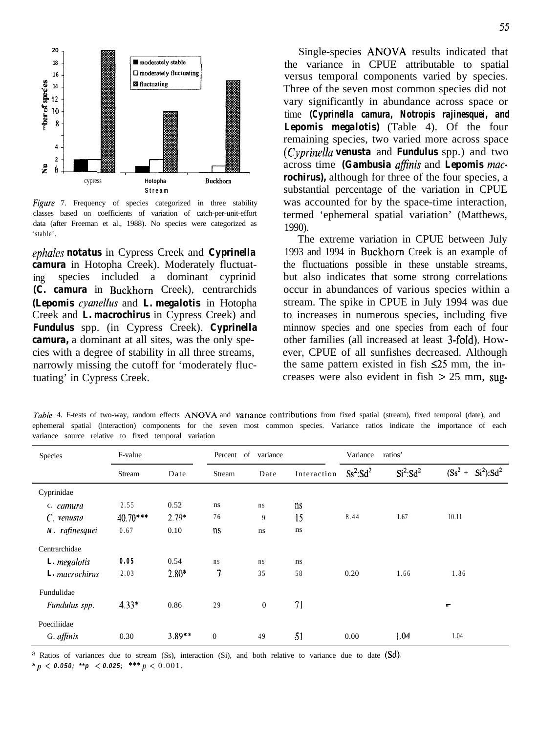

*Figure* 7. Frequency of species categorized in three stability classes based on coefficients of variation of catch-per-unit-effort data (after Freeman et al., 1988). No species were categorized as 'stable'.

*ephales notatus* in Cypress Creek and *Cyprinella camura* in Hotopha Creek). Moderately fluctuating species included a dominant cyprinid *(C. camura* in Buckhorn Creek), centrarchids *(Lepomis cyanellus and L. megalotis in Hotopha* Creek and *L. macrochirus* in Cypress Creek) and *Fundulus* spp. (in Cypress Creek). *Cyprinella camura,* a dominant at all sites, was the only species with a degree of stability in all three streams, narrowly missing the cutoff for 'moderately fluctuating' in Cypress Creek.

Single-species ANOVA results indicated that the variance in CPUE attributable to spatial versus temporal components varied by species. Three of the seven most common species did not vary significantly in abundance across space or time *(Cyprinella camura, Notropis rajinesquei, and Lepomis megalotis)* (Table 4). Of the four remaining species, two varied more across space *(Cyprinellu venusta* and *Fundulus* spp.) and two across time (Gambusia affinis and Lepomis mac*rochirus),* although for three of the four species, a substantial percentage of the variation in CPUE was accounted for by the space-time interaction, termed 'ephemeral spatial variation' (Matthews, 1990).

The extreme variation in CPUE between July 1993 and 1994 in Buckhorn Creek is an example of the fluctuations possible in these unstable streams, but also indicates that some strong correlations occur in abundances of various species within a stream. The spike in CPUE in July 1994 was due to increases in numerous species, including five minnow species and one species from each of four other families (all increased at least 3-fold). However, CPUE of all sunfishes decreased. Although the same pattern existed in fish  $\leq 25$  mm, the increases were also evident in fish  $> 25$  mm, sug-

*Tuble* 4. F-tests of two-way, random effects ANOVA and variance contributions from fixed spatial (stream), fixed temporal (date), and ephemeral spatial (interaction) components for the seven most common species. Variance ratios indicate the importance of each variance source relative to fixed temporal variation

| Species        | F-value    |          | Percent of variance |              |             | Variance     | ratios'                          |                   |
|----------------|------------|----------|---------------------|--------------|-------------|--------------|----------------------------------|-------------------|
|                | Stream     | Date     | Stream              | Date         | Interaction | $Ss^2: Sd^2$ | Si <sup>2</sup> :Sd <sup>2</sup> | $(Ss2 + Si2):Sd2$ |
| Cyprinidae     |            |          |                     |              |             |              |                                  |                   |
| c. camura      | 2.55       | 0.52     | ns                  | n s          | ns          |              |                                  |                   |
| C. venusta     | $40.70***$ | $2.79*$  | 76                  | 9            | 15          | 8.44         | 1.67                             | 10.11             |
| N. rafinesquei | 0.67       | 0.10     | ns                  | ns           | ns          |              |                                  |                   |
| Centrarchidae  |            |          |                     |              |             |              |                                  |                   |
| L. megalotis   | 0.05       | 0.54     | n s                 | n s          | ns          |              |                                  |                   |
| L. macrochirus | 2.03       | $2.80*$  | 7                   | 35           | 58          | 0.20         | 1.66                             | 1.86              |
| Fundulidae     |            |          |                     |              |             |              |                                  |                   |
| Fundulus spp.  | $4.33*$    | 0.86     | 29                  | $\mathbf{0}$ | 71          |              |                                  | m.                |
| Poeciliidae    |            |          |                     |              |             |              |                                  |                   |
| G. affinis     | 0.30       | $3.89**$ | $\boldsymbol{0}$    | 49           | 51          | 0.00         | 1.04                             | 1.04              |

<sup>a</sup> Ratios of variances due to stream (Ss), interaction (Si), and both relative to variance due to date (Sd).

 $*_{p}$  < 0.050; \*\*p < 0.025; \*\*\*p < 0.001.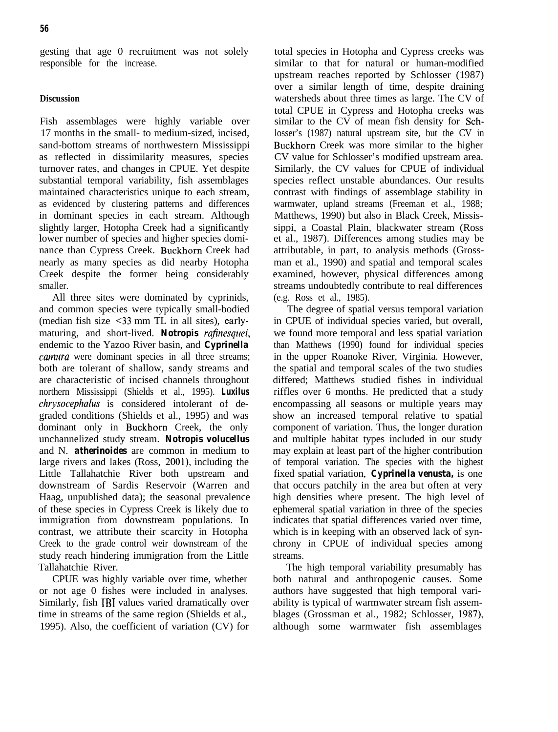gesting that age 0 recruitment was not solely responsible for the increase.

### **Discussion**

Fish assemblages were highly variable over 17 months in the small- to medium-sized, incised, sand-bottom streams of northwestern Mississippi as reflected in dissimilarity measures, species turnover rates, and changes in CPUE. Yet despite substantial temporal variability, fish assemblages maintained characteristics unique to each stream, as evidenced by clustering patterns and differences in dominant species in each stream. Although slightly larger, Hotopha Creek had a significantly lower number of species and higher species dominance than Cypress Creek. Buckhorn Creek had nearly as many species as did nearby Hotopha Creek despite the former being considerably smaller.

All three sites were dominated by cyprinids, and common species were typically small-bodied (median fish size ~33 mm TL in all sites), earlymaturing, and short-lived. *Notropis rafinesquei,* endemic to the Yazoo River basin, and *Cyprinella camura* were dominant species in all three streams; both are tolerant of shallow, sandy streams and are characteristic of incised channels throughout northern Mississippi (Shields et al., 1995). *Luxilus chrysocephalus* is considered intolerant of degraded conditions (Shields et al., 1995) and was dominant only in Buckhorn Creek, the only unchannelized study stream. *Notropis volucellus* and N. *atherinoides* are common in medium to large rivers and lakes (Ross, 2001), including the Little Tallahatchie River both upstream and downstream of Sardis Reservoir (Warren and Haag, unpublished data); the seasonal prevalence of these species in Cypress Creek is likely due to immigration from downstream populations. In contrast, we attribute their scarcity in Hotopha Creek to the grade control weir downstream of the study reach hindering immigration from the Little Tallahatchie River.

CPUE was highly variable over time, whether or not age 0 fishes were included in analyses. Similarly, fish IBI values varied dramatically over time in streams of the same region (Shields et al., 1995). Also, the coefficient of variation (CV) for

total species in Hotopha and Cypress creeks was similar to that for natural or human-modified upstream reaches reported by Schlosser (1987) over a similar length of time, despite draining watersheds about three times as large. The CV of total CPUE in Cypress and Hotopha creeks was similar to the CV of mean fish density for Schlosser's (1987) natural upstream site, but the CV in Buckhorn Creek was more similar to the higher CV value for Schlosser's modified upstream area. Similarly, the CV values for CPUE of individual species reflect unstable abundances. Our results contrast with findings of assemblage stability in warmwater, upland streams (Freeman et al., 1988; Matthews, 1990) but also in Black Creek, Mississippi, a Coastal Plain, blackwater stream (Ross et al., 1987). Differences among studies may be attributable, in part, to analysis methods (Grossman et al., 1990) and spatial and temporal scales examined, however, physical differences among streams undoubtedly contribute to real differences (e.g. Ross et al., 1985).

The degree of spatial versus temporal variation in CPUE of individual species varied, but overall, we found more temporal and less spatial variation than Matthews (1990) found for individual species in the upper Roanoke River, Virginia. However, the spatial and temporal scales of the two studies differed; Matthews studied fishes in individual riffles over 6 months. He predicted that a study encompassing all seasons or multiple years may show an increased temporal relative to spatial component of variation. Thus, the longer duration and multiple habitat types included in our study may explain at least part of the higher contribution of temporal variation. The species with the highest fixed spatial variation, *Cyprinella venusta,* is one that occurs patchily in the area but often at very high densities where present. The high level of ephemeral spatial variation in three of the species indicates that spatial differences varied over time, which is in keeping with an observed lack of synchrony in CPUE of individual species among streams.

The high temporal variability presumably has both natural and anthropogenic causes. Some authors have suggested that high temporal variability is typical of warmwater stream fish assemblages (Grossman et al., 1982; Schlosser, 1987), although some warmwater fish assemblages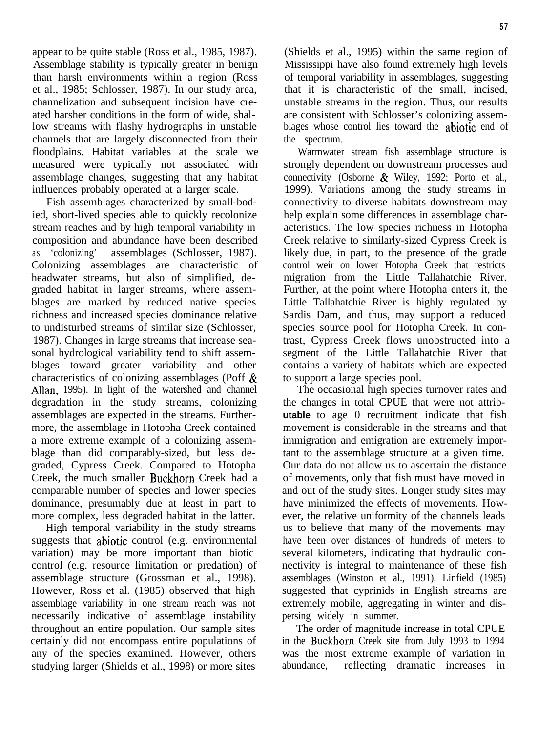**5 7**

appear to be quite stable (Ross et al., 1985, 1987). Assemblage stability is typically greater in benign than harsh environments within a region (Ross et al., 1985; Schlosser, 1987). In our study area, channelization and subsequent incision have created harsher conditions in the form of wide, shallow streams with flashy hydrographs in unstable channels that are largely disconnected from their floodplains. Habitat variables at the scale we measured were typically not associated with assemblage changes, suggesting that any habitat influences probably operated at a larger scale.

Fish assemblages characterized by small-bodied, short-lived species able to quickly recolonize stream reaches and by high temporal variability in composition and abundance have been described as 'colonizing' assemblages (Schlosser, 1987). Colonizing assemblages are characteristic of headwater streams, but also of simplified, degraded habitat in larger streams, where assemblages are marked by reduced native species richness and increased species dominance relative to undisturbed streams of similar size (Schlosser, 1987). Changes in large streams that increase seasonal hydrological variability tend to shift assemblages toward greater variability and other characteristics of colonizing assemblages (Poff & Allan, 1995). In light of the watershed and channel degradation in the study streams, colonizing assemblages are expected in the streams. Furthermore, the assemblage in Hotopha Creek contained a more extreme example of a colonizing assemblage than did comparably-sized, but less degraded, Cypress Creek. Compared to Hotopha Creek, the much smaller Buckhorn Creek had a comparable number of species and lower species dominance, presumably due at least in part to more complex, less degraded habitat in the latter.

High temporal variability in the study streams suggests that abiotic control (e.g. environmental variation) may be more important than biotic control (e.g. resource limitation or predation) of assemblage structure (Grossman et al., 1998). However, Ross et al. (1985) observed that high assemblage variability in one stream reach was not necessarily indicative of assemblage instability throughout an entire population. Our sample sites certainly did not encompass entire populations of any of the species examined. However, others studying larger (Shields et al., 1998) or more sites

(Shields et al., 1995) within the same region of Mississippi have also found extremely high levels of temporal variability in assemblages, suggesting that it is characteristic of the small, incised, unstable streams in the region. Thus, our results are consistent with Schlosser's colonizing assemblages whose control lies toward the abiotic end of the spectrum.

Warmwater stream fish assemblage structure is strongly dependent on downstream processes and connectivity (Osborne & Wiley, 1992; Porto et al., 1999). Variations among the study streams in connectivity to diverse habitats downstream may help explain some differences in assemblage characteristics. The low species richness in Hotopha Creek relative to similarly-sized Cypress Creek is likely due, in part, to the presence of the grade control weir on lower Hotopha Creek that restricts migration from the Little Tallahatchie River. Further, at the point where Hotopha enters it, the Little Tallahatchie River is highly regulated by Sardis Dam, and thus, may support a reduced species source pool for Hotopha Creek. In contrast, Cypress Creek flows unobstructed into a segment of the Little Tallahatchie River that contains a variety of habitats which are expected to support a large species pool.

The occasional high species turnover rates and the changes in total CPUE that were not attrib**utable** to age 0 recruitment indicate that fish movement is considerable in the streams and that immigration and emigration are extremely important to the assemblage structure at a given time. Our data do not allow us to ascertain the distance of movements, only that fish must have moved in and out of the study sites. Longer study sites may have minimized the effects of movements. However, the relative uniformity of the channels leads us to believe that many of the movements may have been over distances of hundreds of meters to several kilometers, indicating that hydraulic connectivity is integral to maintenance of these fish assemblages (Winston et al., 1991). Linfield (1985) suggested that cyprinids in English streams are extremely mobile, aggregating in winter and dispersing widely in summer.

The order of magnitude increase in total CPUE in the Buckhorn Creek site from July 1993 to 1994 was the most extreme example of variation in abundance, reflecting dramatic increases in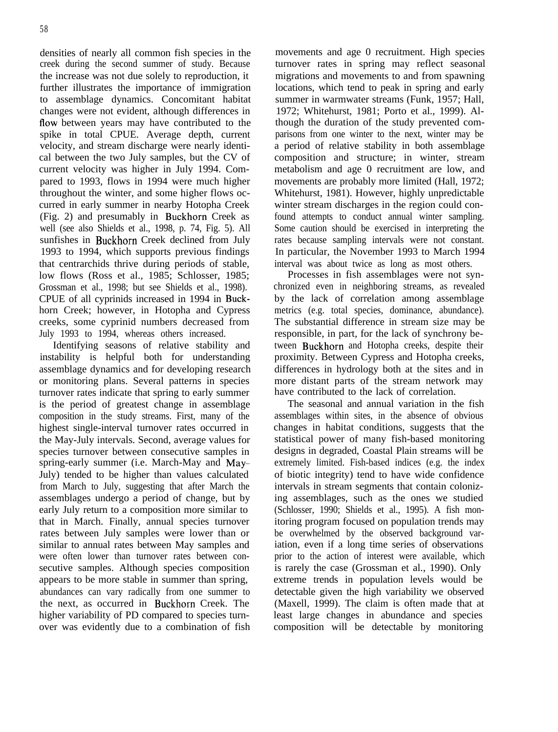densities of nearly all common fish species in the creek during the second summer of study. Because the increase was not due solely to reproduction, it further illustrates the importance of immigration to assemblage dynamics. Concomitant habitat changes were not evident, although differences in flow between years may have contributed to the spike in total CPUE. Average depth, current velocity, and stream discharge were nearly identical between the two July samples, but the CV of current velocity was higher in July 1994. Compared to 1993, flows in 1994 were much higher throughout the winter, and some higher flows occurred in early summer in nearby Hotopha Creek (Fig. 2) and presumably in Buckhorn Creek as well (see also Shields et al., 1998, p. 74, Fig. 5). All sunfishes in Buckhorn Creek declined from July 1993 to 1994, which supports previous findings that centrarchids thrive during periods of stable, low flows (Ross et al., 1985; Schlosser, 1985; Grossman et al., 1998; but see Shields et al., 1998). CPUE of all cyprinids increased in 1994 in Buckhorn Creek; however, in Hotopha and Cypress creeks, some cyprinid numbers decreased from July 1993 to 1994, whereas others increased.

Identifying seasons of relative stability and instability is helpful both for understanding assemblage dynamics and for developing research or monitoring plans. Several patterns in species turnover rates indicate that spring to early summer is the period of greatest change in assemblage composition in the study streams. First, many of the highest single-interval turnover rates occurred in the May-July intervals. Second, average values for species turnover between consecutive samples in spring-early summer (i.e. March-May and May-July) tended to be higher than values calculated from March to July, suggesting that after March the assemblages undergo a period of change, but by early July return to a composition more similar to that in March. Finally, annual species turnover rates between July samples were lower than or similar to annual rates between May samples and were often lower than turnover rates between consecutive samples. Although species composition appears to be more stable in summer than spring, abundances can vary radically from one summer to the next, as occurred in Buckhorn Creek. The higher variability of PD compared to species turnover was evidently due to a combination of fish

movements and age 0 recruitment. High species turnover rates in spring may reflect seasonal migrations and movements to and from spawning locations, which tend to peak in spring and early summer in warmwater streams (Funk, 1957; Hall, 1972; Whitehurst, 1981; Porto et al., 1999). Although the duration of the study prevented comparisons from one winter to the next, winter may be a period of relative stability in both assemblage composition and structure; in winter, stream metabolism and age 0 recruitment are low, and movements are probably more limited (Hall, 1972; Whitehurst, 1981). However, highly unpredictable winter stream discharges in the region could confound attempts to conduct annual winter sampling. Some caution should be exercised in interpreting the rates because sampling intervals were not constant. In particular, the November 1993 to March 1994 interval was about twice as long as most others.

Processes in fish assemblages were not synchronized even in neighboring streams, as revealed by the lack of correlation among assemblage metrics (e.g. total species, dominance, abundance). The substantial difference in stream size may be responsible, in part, for the lack of synchrony between Buckhorn and Hotopha creeks, despite their proximity. Between Cypress and Hotopha creeks, differences in hydrology both at the sites and in more distant parts of the stream network may have contributed to the lack of correlation.

The seasonal and annual variation in the fish assemblages within sites, in the absence of obvious changes in habitat conditions, suggests that the statistical power of many fish-based monitoring designs in degraded, Coastal Plain streams will be extremely limited. Fish-based indices (e.g. the index of biotic integrity) tend to have wide confidence intervals in stream segments that contain colonizing assemblages, such as the ones we studied (Schlosser, 1990; Shields et al., 1995). A fish monitoring program focused on population trends may be overwhelmed by the observed background variation, even if a long time series of observations prior to the action of interest were available, which is rarely the case (Grossman et al., 1990). Only extreme trends in population levels would be detectable given the high variability we observed (Maxell, 1999). The claim is often made that at least large changes in abundance and species composition will be detectable by monitoring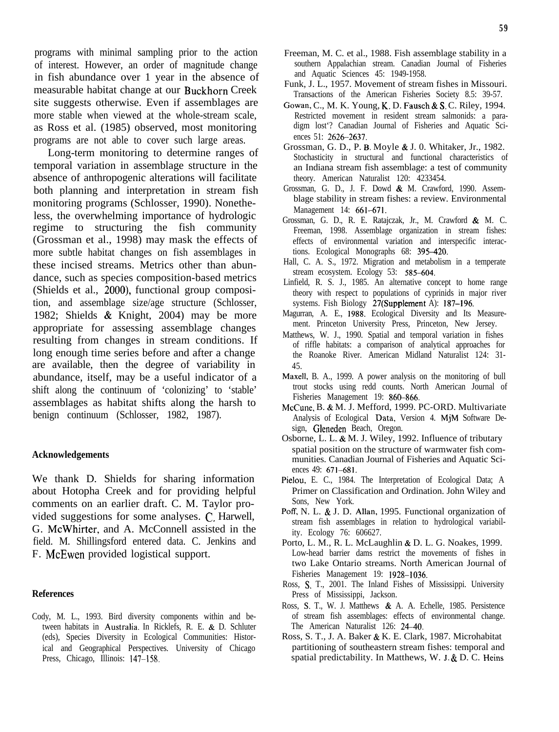programs with minimal sampling prior to the action of interest. However, an order of magnitude change in fish abundance over 1 year in the absence of measurable habitat change at our Buckhorn Creek site suggests otherwise. Even if assemblages are more stable when viewed at the whole-stream scale, as Ross et al. (1985) observed, most monitoring programs are not able to cover such large areas.

Long-term monitoring to determine ranges of temporal variation in assemblage structure in the absence of anthropogenic alterations will facilitate both planning and interpretation in stream fish monitoring programs (Schlosser, 1990). Nonetheless, the overwhelming importance of hydrologic regime to structuring the fish community (Grossman et al., 1998) may mask the effects of more subtle habitat changes on fish assemblages in these incised streams. Metrics other than abundance, such as species composition-based metrics (Shields et al., 2000), functional group composition, and assemblage size/age structure (Schlosser, 1982; Shields & Knight, 2004) may be more appropriate for assessing assemblage changes resulting from changes in stream conditions. If long enough time series before and after a change are available, then the degree of variability in abundance, itself, may be a useful indicator of a shift along the continuum of 'colonizing' to 'stable' assemblages as habitat shifts along the harsh to benign continuum (Schlosser, 1982, 1987).

### **Acknowledgements**

We thank D. Shields for sharing information about Hotopha Creek and for providing helpful comments on an earlier draft. C. M. Taylor provided suggestions for some analyses. C. Harwell, G. McWhirter, and A. McConnell assisted in the field. M. Shillingsford entered data. C. Jenkins and F. McEwen provided logistical support.

#### **References**

Cody, M. L., 1993. Bird diversity components within and between habitats in Australia. In Ricklefs, R. E. & D. Schluter (eds), Species Diversity in Ecological Communities: Historical and Geographical Perspectives. University of Chicago Press, Chicago, Illinois: 147-158.

- Freeman, M. C. et al., 1988. Fish assemblage stability in a southern Appalachian stream. Canadian Journal of Fisheries and Aquatic Sciences 45: 1949-1958.
- Funk, J. L., 1957. Movement of stream fishes in Missouri. Transactions of the American Fisheries Society 8.5: 39-57.
- Gowan, C., M. K. Young, K. D. Fausch & S. C. Riley, 1994. Restricted movement in resident stream salmonids: a paradigm lost'? Canadian Journal of Fisheries and Aquatic Sciences 51: 2626-2637.
- Grossman, G. D., P. B. Moyle & J. 0. Whitaker, Jr., 1982. Stochasticity in structural and functional characteristics of an Indiana stream fish assemblage: a test of community theory. American Naturalist 120: 4233454.
- Grossman, G. D., J. F. Dowd & M. Crawford, 1990. Assemblage stability in stream fishes: a review. Environmental Management 14: 661-671.
- Grossman, G. D., R. E. Ratajczak, Jr., M. Crawford & M. C. Freeman, 1998. Assemblage organization in stream fishes: effects of environmental variation and interspecific interactions. Ecological Monographs 68: 395-420.
- Hall, C. A. S., 1972. Migration and metabolism in a temperate stream ecosystem. Ecology 53: 585-604.
- Linfield, R. S. J., 1985. An alternative concept to home range theory with respect to populations of cyprinids in major river systems. Fish Biology 27(Supplement A): 187-196.
- Magurran, A. E., 1988. Ecological Diversity and Its Measurement. Princeton University Press, Princeton, New Jersey.
- Matthews, W. J., 1990. Spatial and temporal variation in fishes of riffle habitats: a comparison of analytical approaches for the Roanoke River. American Midland Naturalist 124: 31- 45.
- Maxell, B. A., 1999. A power analysis on the monitoring of bull trout stocks using redd counts. North American Journal of Fisheries Management 19: 860-866.
- McCune, B. & M. J. Mefford, 1999. PC-ORD. Multivariate Analysis of Ecological Data, Version 4. MjM Software Design, Gleneden Beach, Oregon.
- Osborne, L. L. & M. J. Wiley, 1992. Influence of tributary spatial position on the structure of warmwater fish communities. Canadian Journal of Fisheries and Aquatic Sciences 49: 671-681.
- Pielou, E. C., 1984. The Interpretation of Ecological Data; A Primer on Classification and Ordination. John Wiley and Sons, New York.
- Poff, N. L. & J. D. Allan, 1995. Functional organization of stream fish assemblages in relation to hydrological variability. Ecology 76: 606627.
- Porto, L. M., R. L. McLaughlin & D. L. G. Noakes, 1999. Low-head barrier dams restrict the movements of fishes in two Lake Ontario streams. North American Journal of Fisheries Management 19: 1928-1036.
- Ross, S. T., 2001. The Inland Fishes of Mississippi. University Press of Mississippi, Jackson.
- Ross, S. T., W. J. Matthews & A. A. Echelle, 1985. Persistence of stream fish assemblages: effects of environmental change. The American Naturalist 126: 24-40.
- Ross, S. T., J. A. Baker & K. E. Clark, 1987. Microhabitat partitioning of southeastern stream fishes: temporal and spatial predictability. In Matthews, W. 3. & D. C. Heins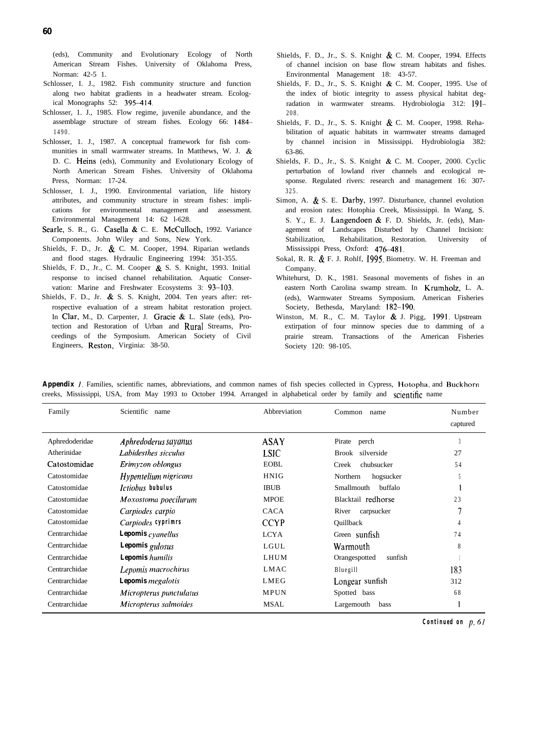(eds), Community and Evolutionary Ecology of North American Stream Fishes. University of Oklahoma Press, Norman: 42-5 1.

- Schlosser, I. J., 1982. Fish community structure and function along two habitat gradients in a headwater stream. Ecological Monographs 52: 395-414.
- Schlosser, 1. J., 1985. Flow regime, juvenile abundance, and the assemblage structure of stream fishes. Ecology 66: 14% 1490.
- Schlosser, 1. J., 1987. A conceptual framework for fish communities in small warmwater streams. In Matthews, W. J. & D. C. Heins (eds), Community and Evolutionary Ecology of North American Stream Fishes. University of Oklahoma Press, Norman: 17-24.
- Schlosser, I. J., 1990. Environmental variation, life history attributes, and community structure in stream fishes: implications for environmental management and assessment. Environmental Management 14: 62 l-628.
- Searle, S. R., G. Casella & C. E. McCulloch, 1992. Variance Components. John Wiley and Sons, New York.
- Shields, F. D., Jr. & C. M. Cooper, 1994. Riparian wetlands and flood stages. Hydraulic Engineering 1994: 351-355.
- Shields, F. D., Jr., C. M. Cooper & S. S. Knight, 1993. Initial response to incised channel rehabilitation. Aquatic Conservation: Marine and Freshwater Ecosystems 3: 93-103.
- Shields, F. D., Jr. & S. S. Knight, 2004. Ten years after: retrospective evaluation of a stream habitat restoration project. In Clar, M., D. Carpenter, J. Gracie & L. Slate (eds), Protection and Restoration of Urban and Rural Streams, Proceedings of the Symposium. American Society of Civil Engineers, Reston, Virginia: 38-50.
- Shields, F. D., Jr., S. S. Knight & C. M. Cooper, 1994. Effects of channel incision on base flow stream habitats and fishes. Environmental Management 18: 43-57.
- Shields, F. D., Jr., S. S. Knight & C. M. Cooper, 1995. Use of the index of biotic integrity to assess physical habitat degradation in warmwater streams. Hydrobiologia 312: [9]-208.
- Shields, F. D., Jr., S. S. Knight & C. M. Cooper, 1998. Rehabilitation of aquatic habitats in warmwater streams damaged by channel incision in Mississippi. Hydrobiologia 382: 63-86.
- Shields, F. D., Jr., S. S. Knight & C. M. Cooper, 2000. Cyclic perturbation of lowland river channels and ecological response. Regulated rivers: research and management 16: 307- 325.
- Simon, A. & S. E. Darby, 1997. Disturbance, channel evolution and erosion rates: Hotophia Creek, Mississippi. In Wang, S. S. Y., E. J. Langendoen  $\&$  F. D. Shields, Jr. (eds), Management of Landscapes Disturbed by Channel Incision: Stabilization, Rehabilitation, Restoration. University of Mississippi Press, Oxford: 476-481.
- Sokal, R. R. & F. J. Rohlf, 1995. Biometry. W. H. Freeman and Company.
- Whitehurst, D. K., 1981. Seasonal movements of fishes in an eastern North Carolina swamp stream. In Krumholz, L. A. (eds), Warmwater Streams Symposium. American Fisheries Society, Bethesda, Maryland: 182-190.
- Winston, M. R., C. M. Taylor & J. Pigg, 1991. Upstream extirpation of four minnow species due to damming of a prairie stream. Transactions of the American Fisheries Society 120: 98-105.

| Family         | Scientific<br>name                    | Abbreviation | Common<br>name           | Number<br>captured |
|----------------|---------------------------------------|--------------|--------------------------|--------------------|
| Aphredoderidae | Aphredoderus sayanus                  | <b>ASAY</b>  | Pirate perch             |                    |
| Atherinidae    | Labidesthes sicculus                  | <b>LSIC</b>  | Brook silverside         | 27                 |
| Catostomidae   | Erimyzon oblongus                     | EOBL         | chubsucker<br>Creek      | 54                 |
| Catostomidae   | Hypentelium nigricans                 | <b>HNIG</b>  | Northern<br>hogsucker    |                    |
| Catostomidae   | <i><u><b>Ictiobus</b></u></i> bubulus | <b>IBUB</b>  | Smallmouth<br>buffalo    |                    |
| Catostomidae   | Moxostoma poecilurum                  | <b>MPOE</b>  | Blacktail redhorse       | 23                 |
| Catostomidae   | Carpiodes carpio                      | <b>CACA</b>  | River<br>carpsucker      |                    |
| Catostomidae   | Carpiodes cyprimrs                    | <b>CCYP</b>  | Quillback                |                    |
| Centrarchidae  | <b>Lepomis</b> cyanellus              | <b>LCYA</b>  | Green sunfish            | 74                 |
| Centrarchidae  | Lepomis gulosus                       | LGUL         | Warmouth                 | 8                  |
| Centrarchidae  | <b>Lepomis</b> humilis                | LHUM         | Orangespotted<br>sunfish |                    |
| Centrarchidae  | Lepomis macrochirus                   | <b>LMAC</b>  | Bluegill                 | 183                |
| Centrarchidae  | <b>Lepomis</b> megalotis              | LMEG         | Longear sunfish          | 312                |
| Centrarchidae  | Micropterus punctulatus               | MPUN         | Spotted bass             | 68                 |
| Centrarchidae  | Micropterus salmoides                 | <b>MSAL</b>  | Largemouth<br>bass       |                    |

*Appendix* 1. Families, scientific names, abbreviations, and common names of fish species collected in Cypress, Hotopha, and Buckhorn creeks, Mississippi, USA, from May 1993 to October 1994. Arranged in alphabetical order by family and scientific name

*Continued on p. 61*